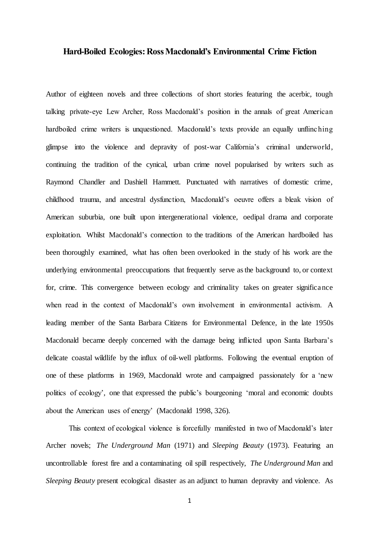## **Hard-Boiled Ecologies: Ross Macdonald's Environmental Crime Fiction**

Author of eighteen novels and three collections of short stories featuring the acerbic, tough talking private-eye Lew Archer, Ross Macdonald's position in the annals of great American hardboiled crime writers is unquestioned. Macdonald's texts provide an equally unflinching glimpse into the violence and depravity of post-war California's criminal underworld, continuing the tradition of the cynical, urban crime novel popularised by writers such as Raymond Chandler and Dashiell Hammett. Punctuated with narratives of domestic crime, childhood trauma, and ancestral dysfunction, Macdonald's oeuvre offers a bleak vision of American suburbia, one built upon intergenerational violence, oedipal drama and corporate exploitation. Whilst Macdonald's connection to the traditions of the American hardboiled has been thoroughly examined, what has often been overlooked in the study of his work are the underlying environmental preoccupations that frequently serve as the background to, or context for, crime. This convergence between ecology and criminality takes on greater significance when read in the context of Macdonald's own involvement in environmental activism. A leading member of the Santa Barbara Citizens for Environmental Defence, in the late 1950s Macdonald became deeply concerned with the damage being inflicted upon Santa Barbara's delicate coastal wildlife by the influx of oil-well platforms. Following the eventual eruption of one of these platforms in 1969, Macdonald wrote and campaigned passionately for a 'new politics of ecology', one that expressed the public's bourgeoning 'moral and economic doubts about the American uses of energy' (Macdonald 1998, 326).

This context of ecological violence is forcefully manifested in two of Macdonald's later Archer novels; *The Underground Man* (1971) and *Sleeping Beauty* (1973). Featuring an uncontrollable forest fire and a contaminating oil spill respectively, *The Underground Man* and *Sleeping Beauty* present ecological disaster as an adjunct to human depravity and violence. As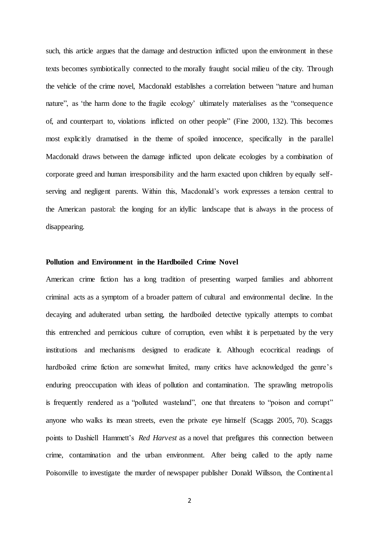such, this article argues that the damage and destruction inflicted upon the environment in these texts becomes symbiotically connected to the morally fraught social milieu of the city. Through the vehicle of the crime novel, Macdonald establishes a correlation between "nature and human nature", as 'the harm done to the fragile ecology' ultimately materialises as the "consequence of, and counterpart to, violations inflicted on other people" (Fine 2000, 132). This becomes most explicitly dramatised in the theme of spoiled innocence, specifically in the parallel Macdonald draws between the damage inflicted upon delicate ecologies by a combination of corporate greed and human irresponsibility and the harm exacted upon children by equally selfserving and negligent parents. Within this, Macdonald's work expresses a tension central to the American pastoral: the longing for an idyllic landscape that is always in the process of disappearing.

## **Pollution and Environment in the Hardboiled Crime Novel**

American crime fiction has a long tradition of presenting warped families and abhorrent criminal acts as a symptom of a broader pattern of cultural and environmental decline. In the decaying and adulterated urban setting, the hardboiled detective typically attempts to combat this entrenched and pernicious culture of corruption, even whilst it is perpetuated by the very institutions and mechanisms designed to eradicate it. Although ecocritical readings of hardboiled crime fiction are somewhat limited, many critics have acknowledged the genre's enduring preoccupation with ideas of pollution and contamination. The sprawling metropolis is frequently rendered as a "polluted wasteland", one that threatens to "poison and corrupt" anyone who walks its mean streets, even the private eye himself (Scaggs 2005, 70). Scaggs points to Dashiell Hammett's *Red Harvest* as a novel that prefigures this connection between crime, contamination and the urban environment. After being called to the aptly name Poisonville to investigate the murder of newspaper publisher Donald Willsson, the Continental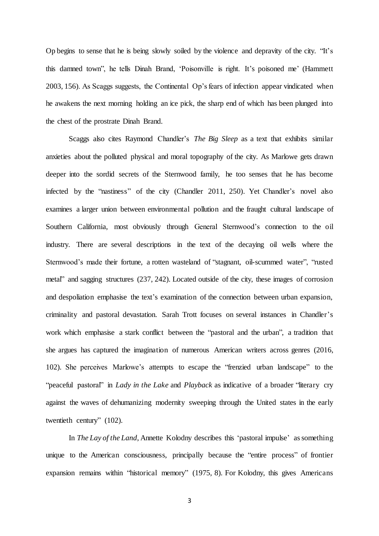Op begins to sense that he is being slowly soiled by the violence and depravity of the city. "It's this damned town", he tells Dinah Brand, 'Poisonville is right. It's poisoned me' (Hammett 2003, 156). As Scaggs suggests, the Continental Op's fears of infection appear vindicated when he awakens the next morning holding an ice pick, the sharp end of which has been plunged into the chest of the prostrate Dinah Brand.

Scaggs also cites Raymond Chandler's *The Big Sleep* as a text that exhibits similar anxieties about the polluted physical and moral topography of the city. As Marlowe gets drawn deeper into the sordid secrets of the Sternwood family, he too senses that he has become infected by the "nastiness" of the city (Chandler 2011, 250). Yet Chandler's novel also examines a larger union between environmental pollution and the fraught cultural landscape of Southern California, most obviously through General Sternwood's connection to the oil industry. There are several descriptions in the text of the decaying oil wells where the Sternwood's made their fortune, a rotten wasteland of "stagnant, oil-scummed water", "rusted metal" and sagging structures (237, 242). Located outside of the city, these images of corrosion and despoliation emphasise the text's examination of the connection between urban expansion, criminality and pastoral devastation. Sarah Trott focuses on several instances in Chandler's work which emphasise a stark conflict between the "pastoral and the urban", a tradition that she argues has captured the imagination of numerous American writers across genres (2016, 102). She perceives Marlowe's attempts to escape the "frenzied urban landscape" to the "peaceful pastoral" in *Lady in the Lake* and *Playback* as indicative of a broader "literary cry against the waves of dehumanizing modernity sweeping through the United states in the early twentieth century" (102).

In *The Lay of the Land*, Annette Kolodny describes this 'pastoral impulse' as something unique to the American consciousness, principally because the "entire process" of frontier expansion remains within "historical memory" (1975, 8). For Kolodny, this gives Americans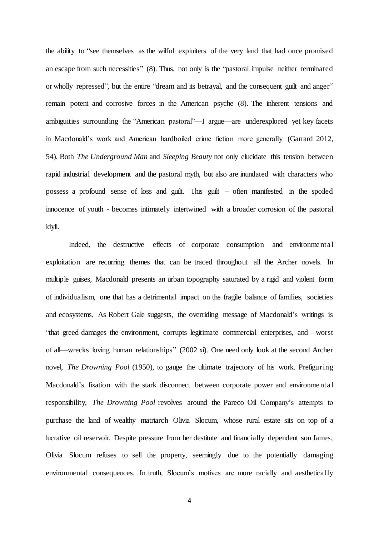the ability to "see themselves as the wilful exploiters of the very land that had once promised an escape from such necessities" (8). Thus, not only is the "pastoral impulse neither terminated or wholly repressed", but the entire "dream and its betrayal, and the consequent guilt and anger" remain potent and corrosive forces in the American psyche (8). The inherent tensions and ambiguities surrounding the "American pastoral"—I argue—are underexplored yet key facets in Macdonald's work and American hardboiled crime fiction more generally (Garrard 2012, 54). Both *The Underground Man* and *Sleeping Beauty* not only elucidate this tension between rapid industrial development and the pastoral myth, but also are inundated with characters who possess a profound sense of loss and guilt. This guilt – often manifested in the spoiled innocence of youth - becomes intimately intertwined with a broader corrosion of the pastoral idyll.

Indeed, the destructive effects of corporate consumption and environmental exploitation are recurring themes that can be traced throughout all the Archer novels. In multiple guises, Macdonald presents an urban topography saturated by a rigid and violent form of individualism, one that has a detrimental impact on the fragile balance of families, societies and ecosystems. As Robert Gale suggests, the overriding message of Macdonald's writings is "that greed damages the environment, corrupts legitimate commercial enterprises, and—worst of all—wrecks loving human relationships" (2002 xi). One need only look at the second Archer novel, *The Drowning Pool* (1950), to gauge the ultimate trajectory of his work. Prefiguring Macdonald's fixation with the stark disconnect between corporate power and environmental responsibility, *The Drowning Pool* revolves around the Pareco Oil Company's attempts to purchase the land of wealthy matriarch Olivia Slocum, whose rural estate sits on top of a lucrative oil reservoir. Despite pressure from her destitute and financially dependent son James, Olivia Slocum refuses to sell the property, seemingly due to the potentially damaging environmental consequences. In truth, Slocum's motives are more racially and aesthetically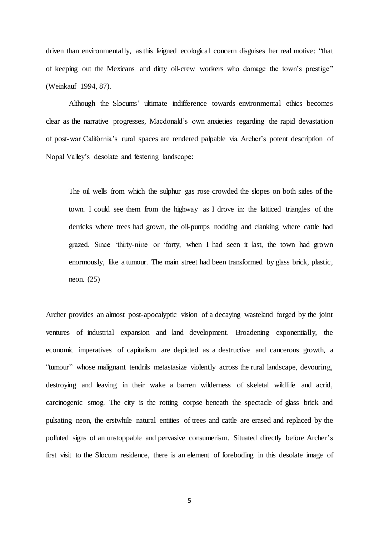driven than environmentally, as this feigned ecological concern disguises her real motive: "that of keeping out the Mexicans and dirty oil-crew workers who damage the town's prestige" (Weinkauf 1994, 87).

Although the Slocums' ultimate indifference towards environmental ethics becomes clear as the narrative progresses, Macdonald's own anxieties regarding the rapid devastation of post-war California's rural spaces are rendered palpable via Archer's potent description of Nopal Valley's desolate and festering landscape:

The oil wells from which the sulphur gas rose crowded the slopes on both sides of the town. I could see them from the highway as I drove in: the latticed triangles of the derricks where trees had grown, the oil-pumps nodding and clanking where cattle had grazed. Since 'thirty-nine or 'forty, when I had seen it last, the town had grown enormously, like a tumour. The main street had been transformed by glass brick, plastic, neon. (25)

Archer provides an almost post-apocalyptic vision of a decaying wasteland forged by the joint ventures of industrial expansion and land development. Broadening exponentially, the economic imperatives of capitalism are depicted as a destructive and cancerous growth, a "tumour" whose malignant tendrils metastasize violently across the rural landscape, devouring, destroying and leaving in their wake a barren wilderness of skeletal wildlife and acrid, carcinogenic smog. The city is the rotting corpse beneath the spectacle of glass brick and pulsating neon, the erstwhile natural entities of trees and cattle are erased and replaced by the polluted signs of an unstoppable and pervasive consumerism. Situated directly before Archer's first visit to the Slocum residence, there is an element of foreboding in this desolate image of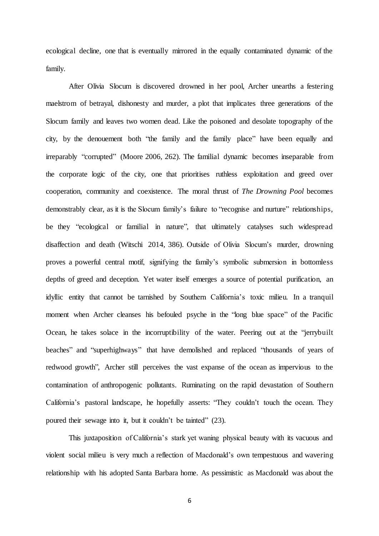ecological decline, one that is eventually mirrored in the equally contaminated dynamic of the family.

After Olivia Slocum is discovered drowned in her pool, Archer unearths a festering maelstrom of betrayal, dishonesty and murder, a plot that implicates three generations of the Slocum family and leaves two women dead. Like the poisoned and desolate topography of the city, by the denouement both "the family and the family place" have been equally and irreparably "corrupted" (Moore 2006, 262). The familial dynamic becomes inseparable from the corporate logic of the city, one that prioritises ruthless exploitation and greed over cooperation, community and coexistence. The moral thrust of *The Drowning Pool* becomes demonstrably clear, as it is the Slocum family's failure to "recognise and nurture" relationships, be they "ecological or familial in nature", that ultimately catalyses such widespread disaffection and death (Witschi 2014, 386). Outside of Olivia Slocum's murder, drowning proves a powerful central motif, signifying the family's symbolic submersion in bottomless depths of greed and deception. Yet water itself emerges a source of potential purification, an idyllic entity that cannot be tarnished by Southern California's toxic milieu. In a tranquil moment when Archer cleanses his befouled psyche in the "long blue space" of the Pacific Ocean, he takes solace in the incorruptibility of the water. Peering out at the "jerrybuilt beaches" and "superhighways" that have demolished and replaced "thousands of years of redwood growth", Archer still perceives the vast expanse of the ocean as impervious to the contamination of anthropogenic pollutants. Ruminating on the rapid devastation of Southern California's pastoral landscape, he hopefully asserts: "They couldn't touch the ocean. They poured their sewage into it, but it couldn't be tainted" (23).

This juxtaposition of California's stark yet waning physical beauty with its vacuous and violent social milieu is very much a reflection of Macdonald's own tempestuous and wavering relationship with his adopted Santa Barbara home. As pessimistic as Macdonald was about the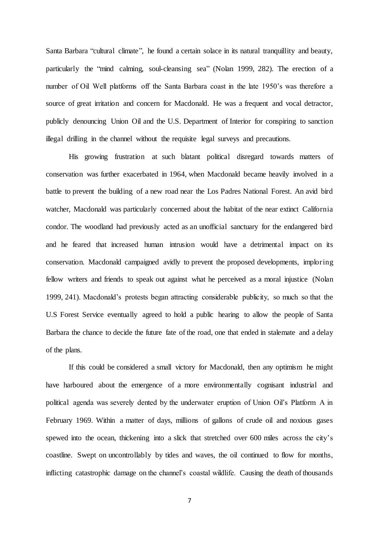Santa Barbara "cultural climate", he found a certain solace in its natural tranquillity and beauty, particularly the "mind calming, soul-cleansing sea" (Nolan 1999, 282). The erection of a number of Oil Well platforms off the Santa Barbara coast in the late 1950's was therefore a source of great irritation and concern for Macdonald. He was a frequent and vocal detractor, publicly denouncing Union Oil and the U.S. Department of Interior for conspiring to sanction illegal drilling in the channel without the requisite legal surveys and precautions.

His growing frustration at such blatant political disregard towards matters of conservation was further exacerbated in 1964, when Macdonald became heavily involved in a battle to prevent the building of a new road near the Los Padres National Forest. An avid bird watcher, Macdonald was particularly concerned about the habitat of the near extinct California condor. The woodland had previously acted as an unofficial sanctuary for the endangered bird and he feared that increased human intrusion would have a detrimental impact on its conservation. Macdonald campaigned avidly to prevent the proposed developments, imploring fellow writers and friends to speak out against what he perceived as a moral injustice (Nolan 1999, 241). Macdonald's protests began attracting considerable publicity, so much so that the U.S Forest Service eventually agreed to hold a public hearing to allow the people of Santa Barbara the chance to decide the future fate of the road, one that ended in stalemate and a delay of the plans.

If this could be considered a small victory for Macdonald, then any optimism he might have harboured about the emergence of a more environmentally cognisant industrial and political agenda was severely dented by the underwater eruption of Union Oil's Platform A in February 1969. Within a matter of days, millions of gallons of crude oil and noxious gases spewed into the ocean, thickening into a slick that stretched over 600 miles across the city's coastline. Swept on uncontrollably by tides and waves, the oil continued to flow for months, inflicting catastrophic damage on the channel's coastal wildlife. Causing the death of thousands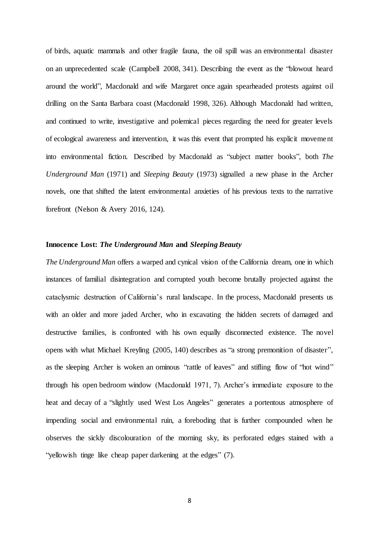of birds, aquatic mammals and other fragile fauna, the oil spill was an environmental disaster on an unprecedented scale (Campbell 2008, 341). Describing the event as the "blowout heard around the world", Macdonald and wife Margaret once again spearheaded protests against oil drilling on the Santa Barbara coast (Macdonald 1998, 326). Although Macdonald had written, and continued to write, investigative and polemical pieces regarding the need for greater levels of ecological awareness and intervention, it was this event that prompted his explicit movement into environmental fiction. Described by Macdonald as "subject matter books", both *The Underground Man* (1971) and *Sleeping Beauty* (1973) signalled a new phase in the Archer novels, one that shifted the latent environmental anxieties of his previous texts to the narrative forefront (Nelson & Avery 2016, 124).

## **Innocence Lost:** *The Underground Man* **and** *Sleeping Beauty*

*The Underground Man* offers a warped and cynical vision of the California dream, one in which instances of familial disintegration and corrupted youth become brutally projected against the cataclysmic destruction of California's rural landscape. In the process, Macdonald presents us with an older and more jaded Archer, who in excavating the hidden secrets of damaged and destructive families, is confronted with his own equally disconnected existence. The novel opens with what Michael Kreyling (2005, 140) describes as "a strong premonition of disaster", as the sleeping Archer is woken an ominous "rattle of leaves" and stifling flow of "hot wind" through his open bedroom window (Macdonald 1971, 7). Archer's immediate exposure to the heat and decay of a "slightly used West Los Angeles" generates a portentous atmosphere of impending social and environmental ruin, a foreboding that is further compounded when he observes the sickly discolouration of the morning sky, its perforated edges stained with a "yellowish tinge like cheap paper darkening at the edges" (7).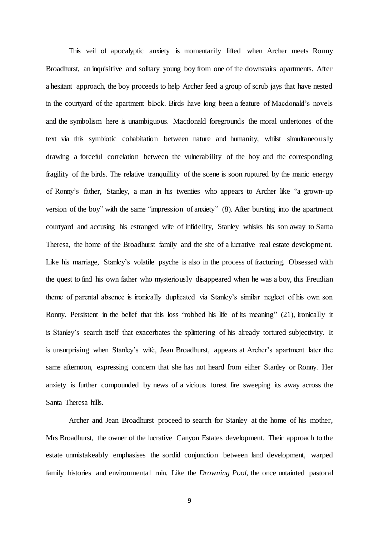This veil of apocalyptic anxiety is momentarily lifted when Archer meets Ronny Broadhurst, an inquisitive and solitary young boy from one of the downstairs apartments. After a hesitant approach, the boy proceeds to help Archer feed a group of scrub jays that have nested in the courtyard of the apartment block. Birds have long been a feature of Macdonald's novels and the symbolism here is unambiguous. Macdonald foregrounds the moral undertones of the text via this symbiotic cohabitation between nature and humanity, whilst simultaneously drawing a forceful correlation between the vulnerability of the boy and the corresponding fragility of the birds. The relative tranquillity of the scene is soon ruptured by the manic energy of Ronny's father, Stanley, a man in his twenties who appears to Archer like "a grown-up version of the boy" with the same "impression of anxiety" (8). After bursting into the apartment courtyard and accusing his estranged wife of infidelity, Stanley whisks his son away to Santa Theresa, the home of the Broadhurst family and the site of a lucrative real estate development. Like his marriage, Stanley's volatile psyche is also in the process of fracturing. Obsessed with the quest to find his own father who mysteriously disappeared when he was a boy, this Freudian theme of parental absence is ironically duplicated via Stanley's similar neglect of his own son Ronny. Persistent in the belief that this loss "robbed his life of its meaning" (21), ironically it is Stanley's search itself that exacerbates the splintering of his already tortured subjectivity. It is unsurprising when Stanley's wife, Jean Broadhurst, appears at Archer's apartment later the same afternoon, expressing concern that she has not heard from either Stanley or Ronny. Her anxiety is further compounded by news of a vicious forest fire sweeping its away across the Santa Theresa hills.

Archer and Jean Broadhurst proceed to search for Stanley at the home of his mother, Mrs Broadhurst, the owner of the lucrative Canyon Estates development. Their approach to the estate unmistakeably emphasises the sordid conjunction between land development, warped family histories and environmental ruin. Like the *Drowning Pool*, the once untainted pastoral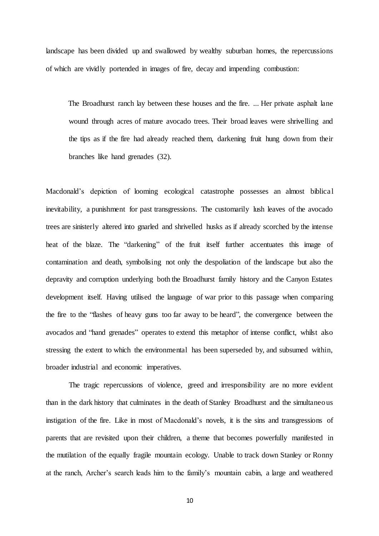landscape has been divided up and swallowed by wealthy suburban homes, the repercussions of which are vividly portended in images of fire, decay and impending combustion:

The Broadhurst ranch lay between these houses and the fire. ... Her private asphalt lane wound through acres of mature avocado trees. Their broad leaves were shrivelling and the tips as if the fire had already reached them, darkening fruit hung down from their branches like hand grenades (32).

Macdonald's depiction of looming ecological catastrophe possesses an almost biblical inevitability, a punishment for past transgressions. The customarily lush leaves of the avocado trees are sinisterly altered into gnarled and shrivelled husks as if already scorched by the intense heat of the blaze. The "darkening" of the fruit itself further accentuates this image of contamination and death, symbolising not only the despoliation of the landscape but also the depravity and corruption underlying both the Broadhurst family history and the Canyon Estates development itself. Having utilised the language of war prior to this passage when comparing the fire to the "flashes of heavy guns too far away to be heard", the convergence between the avocados and "hand grenades" operates to extend this metaphor of intense conflict, whilst also stressing the extent to which the environmental has been superseded by, and subsumed within, broader industrial and economic imperatives.

The tragic repercussions of violence, greed and irresponsibility are no more evident than in the dark history that culminates in the death of Stanley Broadhurst and the simultaneous instigation of the fire. Like in most of Macdonald's novels, it is the sins and transgressions of parents that are revisited upon their children, a theme that becomes powerfully manifested in the mutilation of the equally fragile mountain ecology. Unable to track down Stanley or Ronny at the ranch, Archer's search leads him to the family's mountain cabin, a large and weathered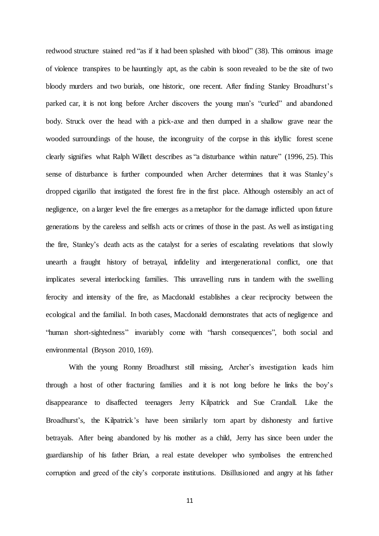redwood structure stained red "as if it had been splashed with blood" (38). This ominous image of violence transpires to be hauntingly apt, as the cabin is soon revealed to be the site of two bloody murders and two burials, one historic, one recent. After finding Stanley Broadhurst's parked car, it is not long before Archer discovers the young man's "curled" and abandoned body. Struck over the head with a pick-axe and then dumped in a shallow grave near the wooded surroundings of the house, the incongruity of the corpse in this idyllic forest scene clearly signifies what Ralph Willett describes as "a disturbance within nature" (1996, 25). This sense of disturbance is further compounded when Archer determines that it was Stanley's dropped cigarillo that instigated the forest fire in the first place. Although ostensibly an act of negligence, on a larger level the fire emerges as a metaphor for the damage inflicted upon future generations by the careless and selfish acts or crimes of those in the past. As well as instigating the fire, Stanley's death acts as the catalyst for a series of escalating revelations that slowly unearth a fraught history of betrayal, infidelity and intergenerational conflict, one that implicates several interlocking families. This unravelling runs in tandem with the swelling ferocity and intensity of the fire, as Macdonald establishes a clear reciprocity between the ecological and the familial. In both cases, Macdonald demonstrates that acts of negligence and "human short-sightedness" invariably come with "harsh consequences", both social and environmental (Bryson 2010, 169).

With the young Ronny Broadhurst still missing, Archer's investigation leads him through a host of other fracturing families and it is not long before he links the boy's disappearance to disaffected teenagers Jerry Kilpatrick and Sue Crandall. Like the Broadhurst's, the Kilpatrick's have been similarly torn apart by dishonesty and furtive betrayals. After being abandoned by his mother as a child, Jerry has since been under the guardianship of his father Brian, a real estate developer who symbolises the entrenched corruption and greed of the city's corporate institutions. Disillusioned and angry at his father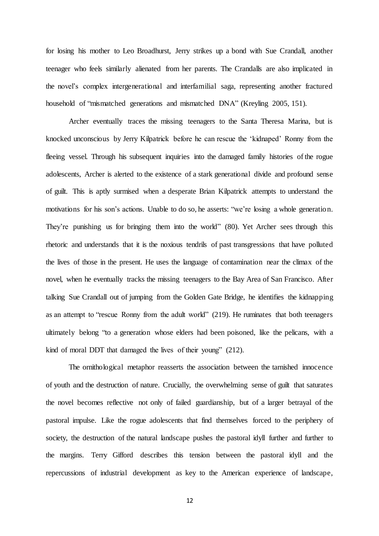for losing his mother to Leo Broadhurst, Jerry strikes up a bond with Sue Crandall, another teenager who feels similarly alienated from her parents. The Crandalls are also implicated in the novel's complex intergenerational and interfamilial saga, representing another fractured household of "mismatched generations and mismatched DNA" (Kreyling 2005, 151).

Archer eventually traces the missing teenagers to the Santa Theresa Marina, but is knocked unconscious by Jerry Kilpatrick before he can rescue the 'kidnaped' Ronny from the fleeing vessel. Through his subsequent inquiries into the damaged family histories of the rogue adolescents, Archer is alerted to the existence of a stark generational divide and profound sense of guilt. This is aptly surmised when a desperate Brian Kilpatrick attempts to understand the motivations for his son's actions. Unable to do so, he asserts: "we're losing a whole generation. They're punishing us for bringing them into the world" (80). Yet Archer sees through this rhetoric and understands that it is the noxious tendrils of past transgressions that have polluted the lives of those in the present. He uses the language of contamination near the climax of the novel, when he eventually tracks the missing teenagers to the Bay Area of San Francisco. After talking Sue Crandall out of jumping from the Golden Gate Bridge, he identifies the kidnapping as an attempt to "rescue Ronny from the adult world" (219). He ruminates that both teenagers ultimately belong "to a generation whose elders had been poisoned, like the pelicans, with a kind of moral DDT that damaged the lives of their young" (212).

The ornithological metaphor reasserts the association between the tarnished innocence of youth and the destruction of nature. Crucially, the overwhelming sense of guilt that saturates the novel becomes reflective not only of failed guardianship, but of a larger betrayal of the pastoral impulse. Like the rogue adolescents that find themselves forced to the periphery of society, the destruction of the natural landscape pushes the pastoral idyll further and further to the margins. Terry Gifford describes this tension between the pastoral idyll and the repercussions of industrial development as key to the American experience of landscape,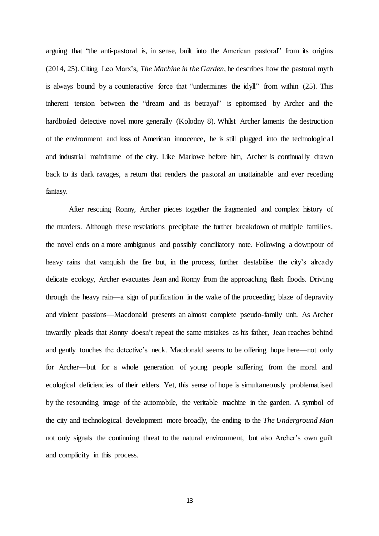arguing that "the anti-pastoral is, in sense, built into the American pastoral" from its origins (2014, 25). Citing Leo Marx's, *The Machine in the Garden*, he describes how the pastoral myth is always bound by a counteractive force that "undermines the idyll" from within (25). This inherent tension between the "dream and its betrayal" is epitomised by Archer and the hardboiled detective novel more generally (Kolodny 8). Whilst Archer laments the destruction of the environment and loss of American innocence, he is still plugged into the technological and industrial mainframe of the city. Like Marlowe before him, Archer is continually drawn back to its dark ravages, a return that renders the pastoral an unattainable and ever receding fantasy.

After rescuing Ronny, Archer pieces together the fragmented and complex history of the murders. Although these revelations precipitate the further breakdown of multiple families, the novel ends on a more ambiguous and possibly conciliatory note. Following a downpour of heavy rains that vanquish the fire but, in the process, further destabilise the city's already delicate ecology, Archer evacuates Jean and Ronny from the approaching flash floods. Driving through the heavy rain—a sign of purification in the wake of the proceeding blaze of depravity and violent passions—Macdonald presents an almost complete pseudo-family unit. As Archer inwardly pleads that Ronny doesn't repeat the same mistakes as his father, Jean reaches behind and gently touches the detective's neck. Macdonald seems to be offering hope here—not only for Archer—but for a whole generation of young people suffering from the moral and ecological deficiencies of their elders. Yet, this sense of hope is simultaneously problematised by the resounding image of the automobile, the veritable machine in the garden. A symbol of the city and technological development more broadly, the ending to the *The Underground Man* not only signals the continuing threat to the natural environment, but also Archer's own guilt and complicity in this process.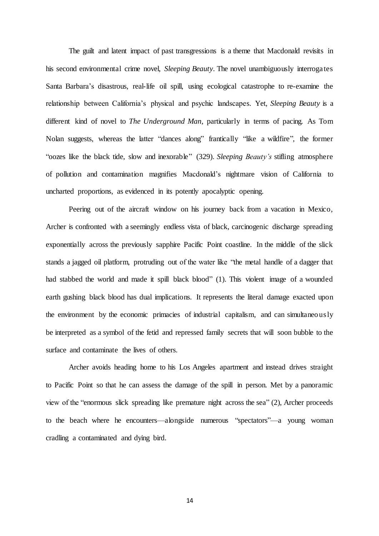The guilt and latent impact of past transgressions is a theme that Macdonald revisits in his second environmental crime novel, *Sleeping Beauty*. The novel unambiguously interrogates Santa Barbara's disastrous, real-life oil spill, using ecological catastrophe to re-examine the relationship between California's physical and psychic landscapes. Yet, *Sleeping Beauty* is a different kind of novel to *The Underground Man*, particularly in terms of pacing. As Tom Nolan suggests, whereas the latter "dances along" frantically "like a wildfire", the former "oozes like the black tide, slow and inexorable" (329). *Sleeping Beauty's* stifling atmosphere of pollution and contamination magnifies Macdonald's nightmare vision of California to uncharted proportions, as evidenced in its potently apocalyptic opening.

Peering out of the aircraft window on his journey back from a vacation in Mexico, Archer is confronted with a seemingly endless vista of black, carcinogenic discharge spreading exponentially across the previously sapphire Pacific Point coastline. In the middle of the slick stands a jagged oil platform, protruding out of the water like "the metal handle of a dagger that had stabbed the world and made it spill black blood" (1). This violent image of a wounded earth gushing black blood has dual implications. It represents the literal damage exacted upon the environment by the economic primacies of industrial capitalism, and can simultaneously be interpreted as a symbol of the fetid and repressed family secrets that will soon bubble to the surface and contaminate the lives of others.

Archer avoids heading home to his Los Angeles apartment and instead drives straight to Pacific Point so that he can assess the damage of the spill in person. Met by a panoramic view of the "enormous slick spreading like premature night across the sea" (2), Archer proceeds to the beach where he encounters—alongside numerous "spectators"—a young woman cradling a contaminated and dying bird.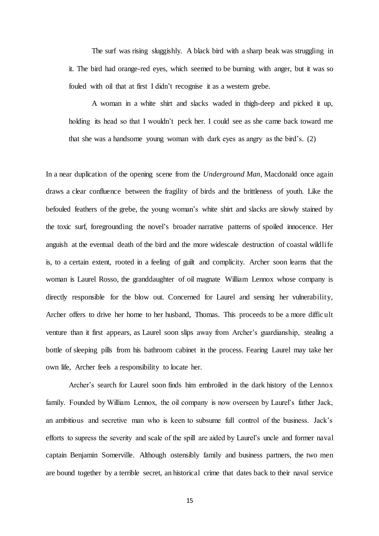The surf was rising sluggishly. A black bird with a sharp beak was struggling in it. The bird had orange-red eyes, which seemed to be burning with anger, but it was so fouled with oil that at first I didn't recognise it as a western grebe.

A woman in a white shirt and slacks waded in thigh-deep and picked it up, holding its head so that I wouldn't peck her. I could see as she came back toward me that she was a handsome young woman with dark eyes as angry as the bird's. (2)

In a near duplication of the opening scene from the *Underground Man*, Macdonald once again draws a clear confluence between the fragility of birds and the brittleness of youth. Like the befouled feathers of the grebe, the young woman's white shirt and slacks are slowly stained by the toxic surf, foregrounding the novel's broader narrative patterns of spoiled innocence. Her anguish at the eventual death of the bird and the more widescale destruction of coastal wildlife is, to a certain extent, rooted in a feeling of guilt and complicity. Archer soon learns that the woman is Laurel Rosso, the granddaughter of oil magnate William Lennox whose company is directly responsible for the blow out. Concerned for Laurel and sensing her vulnerability, Archer offers to drive her home to her husband, Thomas. This proceeds to be a more difficult venture than it first appears, as Laurel soon slips away from Archer's guardianship, stealing a bottle of sleeping pills from his bathroom cabinet in the process. Fearing Laurel may take her own life, Archer feels a responsibility to locate her.

Archer's search for Laurel soon finds him embroiled in the dark history of the Lennox family. Founded by William Lennox, the oil company is now overseen by Laurel's father Jack, an ambitious and secretive man who is keen to subsume full control of the business. Jack's efforts to supress the severity and scale of the spill are aided by Laurel's uncle and former naval captain Benjamin Somerville. Although ostensibly family and business partners, the two men are bound together by a terrible secret, an historical crime that dates back to their naval service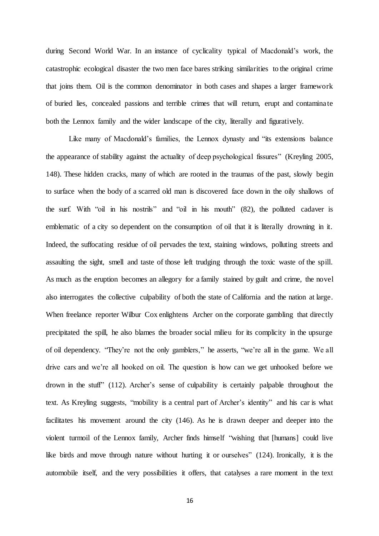during Second World War. In an instance of cyclicality typical of Macdonald's work, the catastrophic ecological disaster the two men face bares striking similarities to the original crime that joins them. Oil is the common denominator in both cases and shapes a larger framework of buried lies, concealed passions and terrible crimes that will return, erupt and contaminate both the Lennox family and the wider landscape of the city, literally and figuratively.

Like many of Macdonald's families, the Lennox dynasty and "its extensions balance the appearance of stability against the actuality of deep psychological fissures" (Kreyling 2005, 148). These hidden cracks, many of which are rooted in the traumas of the past, slowly begin to surface when the body of a scarred old man is discovered face down in the oily shallows of the surf. With "oil in his nostrils" and "oil in his mouth" (82), the polluted cadaver is emblematic of a city so dependent on the consumption of oil that it is literally drowning in it. Indeed, the suffocating residue of oil pervades the text, staining windows, polluting streets and assaulting the sight, smell and taste of those left trudging through the toxic waste of the spill. As much as the eruption becomes an allegory for a family stained by guilt and crime, the novel also interrogates the collective culpability of both the state of California and the nation at large. When freelance reporter Wilbur Cox enlightens Archer on the corporate gambling that directly precipitated the spill, he also blames the broader social milieu for its complicity in the upsurge of oil dependency. "They're not the only gamblers," he asserts, "we're all in the game. We all drive cars and we're all hooked on oil. The question is how can we get unhooked before we drown in the stuff" (112). Archer's sense of culpability is certainly palpable throughout the text. As Kreyling suggests, "mobility is a central part of Archer's identity" and his car is what facilitates his movement around the city (146). As he is drawn deeper and deeper into the violent turmoil of the Lennox family, Archer finds himself "wishing that [humans] could live like birds and move through nature without hurting it or ourselves" (124). Ironically, it is the automobile itself, and the very possibilities it offers, that catalyses a rare moment in the text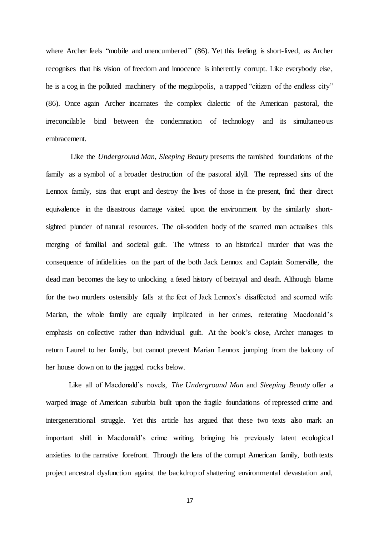where Archer feels "mobile and unencumbered" (86). Yet this feeling is short-lived, as Archer recognises that his vision of freedom and innocence is inherently corrupt. Like everybody else, he is a cog in the polluted machinery of the megalopolis, a trapped "citizen of the endless city" (86). Once again Archer incarnates the complex dialectic of the American pastoral, the irreconcilable bind between the condemnation of technology and its simultaneous embracement.

Like the *Underground Man*, *Sleeping Beauty* presents the tarnished foundations of the family as a symbol of a broader destruction of the pastoral idyll. The repressed sins of the Lennox family, sins that erupt and destroy the lives of those in the present, find their direct equivalence in the disastrous damage visited upon the environment by the similarly shortsighted plunder of natural resources. The oil-sodden body of the scarred man actualises this merging of familial and societal guilt. The witness to an historical murder that was the consequence of infidelities on the part of the both Jack Lennox and Captain Somerville, the dead man becomes the key to unlocking a feted history of betrayal and death. Although blame for the two murders ostensibly falls at the feet of Jack Lennox's disaffected and scorned wife Marian, the whole family are equally implicated in her crimes, reiterating Macdonald's emphasis on collective rather than individual guilt. At the book's close, Archer manages to return Laurel to her family, but cannot prevent Marian Lennox jumping from the balcony of her house down on to the jagged rocks below.

Like all of Macdonald's novels, *The Underground Man* and *Sleeping Beauty* offer a warped image of American suburbia built upon the fragile foundations of repressed crime and intergenerational struggle. Yet this article has argued that these two texts also mark an important shift in Macdonald's crime writing, bringing his previously latent ecological anxieties to the narrative forefront. Through the lens of the corrupt American family, both texts project ancestral dysfunction against the backdrop of shattering environmental devastation and,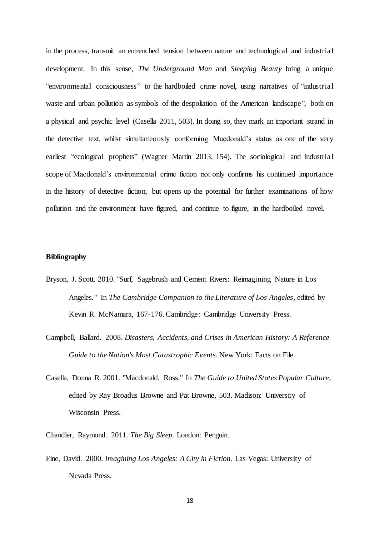in the process, transmit an entrenched tension between nature and technological and industrial development. In this sense, *The Underground Man* and *Sleeping Beauty* bring a unique "environmental consciousness" to the hardboiled crime novel, using narratives of "industrial waste and urban pollution as symbols of the despoliation of the American landscape", both on a physical and psychic level (Casella 2011, 503). In doing so, they mark an important strand in the detective text, whilst simultaneously conforming Macdonald's status as one of the very earliest "ecological prophets" (Wagner Martin 2013, 154). The sociological and industrial scope of Macdonald's environmental crime fiction not only confirms his continued importance in the history of detective fiction, but opens up the potential for further examinations of how pollution and the environment have figured, and continue to figure, in the hardboiled novel.

## **Bibliography**

- Bryson, J. Scott. 2010. "Surf, Sagebrush and Cement Rivers: Reimagining Nature in Los Angeles." In *The Cambridge Companion to the Literature of Los Angeles*, edited by Kevin R. McNamara, 167-176. Cambridge: Cambridge University Press.
- Campbell, Ballard. 2008. *Disasters, Accidents, and Crises in American History: A Reference Guide to the Nation's Most Catastrophic Events.* New York: Facts on File.
- Casella, Donna R. 2001. "Macdonald, Ross." In *The Guide to United States Popular Culture*, edited by Ray Broadus Browne and Pat Browne, 503. Madison: University of Wisconsin Press.
- Chandler, Raymond. 2011. *The Big Sleep.* London: Penguin.
- Fine, David. 2000. *Imagining Los Angeles: A City in Fiction.* Las Vegas: University of Nevada Press.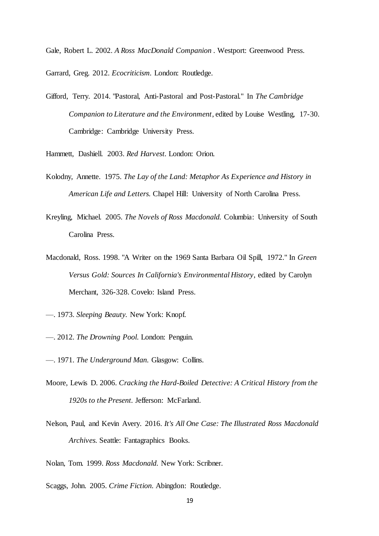Gale, Robert L. 2002. *A Ross MacDonald Companion .* Westport: Greenwood Press.

Garrard, Greg. 2012. *Ecocriticism.* London: Routledge.

- Gifford, Terry. 2014. "Pastoral, Anti-Pastoral and Post-Pastoral." In *The Cambridge Companion to Literature and the Environment*, edited by Louise Westling, 17-30. Cambridge: Cambridge University Press.
- Hammett, Dashiell. 2003. *Red Harvest.* London: Orion.
- Kolodny, Annette. 1975. *The Lay of the Land: Metaphor As Experience and History in American Life and Letters.* Chapel Hill: University of North Carolina Press.
- Kreyling, Michael. 2005. *The Novels of Ross Macdonald.* Columbia: University of South Carolina Press.
- Macdonald, Ross. 1998. "A Writer on the 1969 Santa Barbara Oil Spill, 1972." In *Green Versus Gold: Sources In California's Environmental History*, edited by Carolyn Merchant, 326-328. Covelo: Island Press.
- —. 1973. *Sleeping Beauty.* New York: Knopf.
- —. 2012. *The Drowning Pool.* London: Penguin.
- —. 1971. *The Underground Man.* Glasgow: Collins.
- Moore, Lewis D. 2006. *Cracking the Hard-Boiled Detective: A Critical History from the 1920s to the Present.* Jefferson: McFarland.
- Nelson, Paul, and Kevin Avery. 2016. *It's All One Case: The Illustrated Ross Macdonald Archives.* Seattle: Fantagraphics Books.

Nolan, Tom. 1999. *Ross Macdonald.* New York: Scribner.

Scaggs, John. 2005. *Crime Fiction.* Abingdon: Routledge.